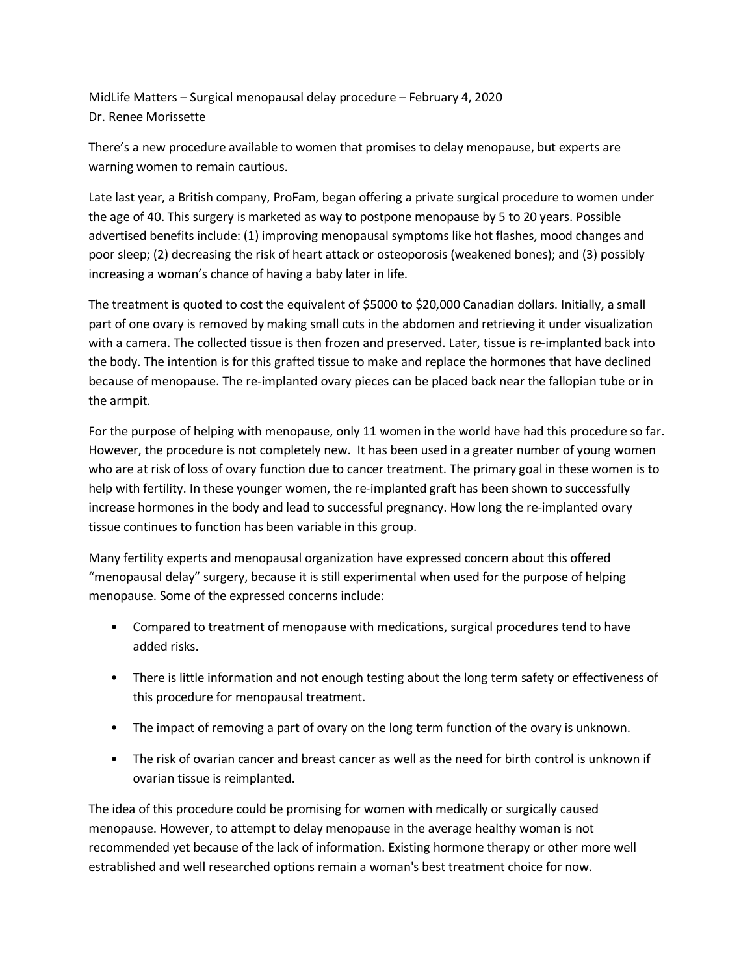MidLife Matters – Surgical menopausal delay procedure – February 4, 2020 Dr. Renee Morissette

There's a new procedure available to women that promises to delay menopause, but experts are warning women to remain cautious.

Late last year, a British company, ProFam, began offering a private surgical procedure to women under the age of 40. This surgery is marketed as way to postpone menopause by 5 to 20 years. Possible advertised benefits include: (1) improving menopausal symptoms like hot flashes, mood changes and poor sleep; (2) decreasing the risk of heart attack or osteoporosis (weakened bones); and (3) possibly increasing a woman's chance of having a baby later in life.

The treatment is quoted to cost the equivalent of \$5000 to \$20,000 Canadian dollars. Initially, a small part of one ovary is removed by making small cuts in the abdomen and retrieving it under visualization with a camera. The collected tissue is then frozen and preserved. Later, tissue is re-implanted back into the body. The intention is for this grafted tissue to make and replace the hormones that have declined because of menopause. The re-implanted ovary pieces can be placed back near the fallopian tube or in the armpit.

For the purpose of helping with menopause, only 11 women in the world have had this procedure so far. However, the procedure is not completely new. It has been used in a greater number of young women who are at risk of loss of ovary function due to cancer treatment. The primary goal in these women is to help with fertility. In these younger women, the re-implanted graft has been shown to successfully increase hormones in the body and lead to successful pregnancy. How long the re-implanted ovary tissue continues to function has been variable in this group.

Many fertility experts and menopausal organization have expressed concern about this offered "menopausal delay" surgery, because it is still experimental when used for the purpose of helping menopause. Some of the expressed concerns include:

- Compared to treatment of menopause with medications, surgical procedures tend to have added risks.
- There is little information and not enough testing about the long term safety or effectiveness of this procedure for menopausal treatment.
- The impact of removing a part of ovary on the long term function of the ovary is unknown.
- The risk of ovarian cancer and breast cancer as well as the need for birth control is unknown if ovarian tissue is reimplanted.

The idea of this procedure could be promising for women with medically or surgically caused menopause. However, to attempt to delay menopause in the average healthy woman is not recommended yet because of the lack of information. Existing hormone therapy or other more well estrablished and well researched options remain a woman's best treatment choice for now.